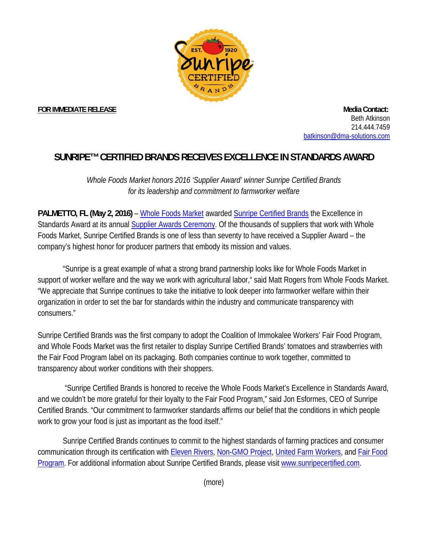

**FOR IMMEDIATE RELEASE Media Contact: Media Contact: Media Contact: Media Contact:** Beth Atkinson 214.444.7459 batkinson@dma-solutions.com

## **SUNRIPE™ CERTIFIED BRANDS RECEIVES EXCELLENCE IN STANDARDS AWARD**

*Whole Foods Market honors 2016 'Supplier Award' winner Sunripe Certified Brands for its leadership and commitment to farmworker welfare*

**PALMETTO, FL (May 2, 2016)** – Whole Foods Market awarded Sunripe Certified Brands the Excellence in Standards Award at its annual Supplier Awards Ceremony. Of the thousands of suppliers that work with Whole Foods Market, Sunripe Certified Brands is one of less than seventy to have received a Supplier Award – the company's highest honor for producer partners that embody its mission and values.

 "Sunripe is a great example of what a strong brand partnership looks like for Whole Foods Market in support of worker welfare and the way we work with agricultural labor," said Matt Rogers from Whole Foods Market. "We appreciate that Sunripe continues to take the initiative to look deeper into farmworker welfare within their organization in order to set the bar for standards within the industry and communicate transparency with consumers."

Sunripe Certified Brands was the first company to adopt the Coalition of Immokalee Workers' Fair Food Program, and Whole Foods Market was the first retailer to display Sunripe Certified Brands' tomatoes and strawberries with the Fair Food Program label on its packaging. Both companies continue to work together, committed to transparency about worker conditions with their shoppers.

 "Sunripe Certified Brands is honored to receive the Whole Foods Market's Excellence in Standards Award, and we couldn't be more grateful for their loyalty to the Fair Food Program," said Jon Esformes, CEO of Sunripe Certified Brands. "Our commitment to farmworker standards affirms our belief that the conditions in which people work to grow your food is just as important as the food itself."

Sunripe Certified Brands continues to commit to the highest standards of farming practices and consumer communication through its certification with Eleven Rivers, Non-GMO Project, United Farm Workers, and Fair Food Program. For additional information about Sunripe Certified Brands, please visit www.sunripecertified.com.